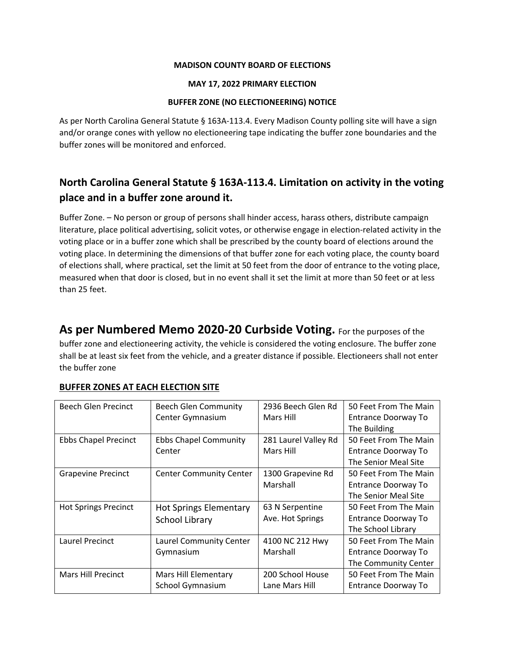#### **MADISON COUNTY BOARD OF ELECTIONS**

### **MAY 17, 2022 PRIMARY ELECTION**

### **BUFFER ZONE (NO ELECTIONEERING) NOTICE**

As per North Carolina General Statute § 163A-113.4. Every Madison County polling site will have a sign and/or orange cones with yellow no electioneering tape indicating the buffer zone boundaries and the buffer zones will be monitored and enforced.

## **North Carolina General Statute § 163A-113.4. Limitation on activity in the voting place and in a buffer zone around it.**

Buffer Zone. – No person or group of persons shall hinder access, harass others, distribute campaign literature, place political advertising, solicit votes, or otherwise engage in election-related activity in the voting place or in a buffer zone which shall be prescribed by the county board of elections around the voting place. In determining the dimensions of that buffer zone for each voting place, the county board of elections shall, where practical, set the limit at 50 feet from the door of entrance to the voting place, measured when that door is closed, but in no event shall it set the limit at more than 50 feet or at less than 25 feet.

**As per Numbered Memo 2020-20 Curbside Voting.** For the purposes of the buffer zone and electioneering activity, the vehicle is considered the voting enclosure. The buffer zone shall be at least six feet from the vehicle, and a greater distance if possible. Electioneers shall not enter the buffer zone

| <b>Beech Glen Precinct</b>  | <b>Beech Glen Community</b>    | 2936 Beech Glen Rd   | 50 Feet From The Main      |
|-----------------------------|--------------------------------|----------------------|----------------------------|
|                             | Center Gymnasium               | Mars Hill            | Entrance Doorway To        |
|                             |                                |                      | The Building               |
| <b>Ebbs Chapel Precinct</b> | <b>Ebbs Chapel Community</b>   | 281 Laurel Valley Rd | 50 Feet From The Main      |
|                             | Center                         | Mars Hill            | <b>Entrance Doorway To</b> |
|                             |                                |                      | The Senior Meal Site       |
| <b>Grapevine Precinct</b>   | <b>Center Community Center</b> | 1300 Grapevine Rd    | 50 Feet From The Main      |
|                             |                                | Marshall             | <b>Entrance Doorway To</b> |
|                             |                                |                      | The Senior Meal Site       |
| <b>Hot Springs Precinct</b> | <b>Hot Springs Elementary</b>  | 63 N Serpentine      | 50 Feet From The Main      |
|                             | School Library                 | Ave. Hot Springs     | Entrance Doorway To        |
|                             |                                |                      | The School Library         |
| Laurel Precinct             | Laurel Community Center        | 4100 NC 212 Hwy      | 50 Feet From The Main      |
|                             | Gymnasium                      | Marshall             | Entrance Doorway To        |
|                             |                                |                      | The Community Center       |
| Mars Hill Precinct          | Mars Hill Elementary           | 200 School House     | 50 Feet From The Main      |
|                             | School Gymnasium               | Lane Mars Hill       | <b>Entrance Doorway To</b> |
|                             |                                |                      |                            |

### **BUFFER ZONES AT EACH ELECTION SITE**